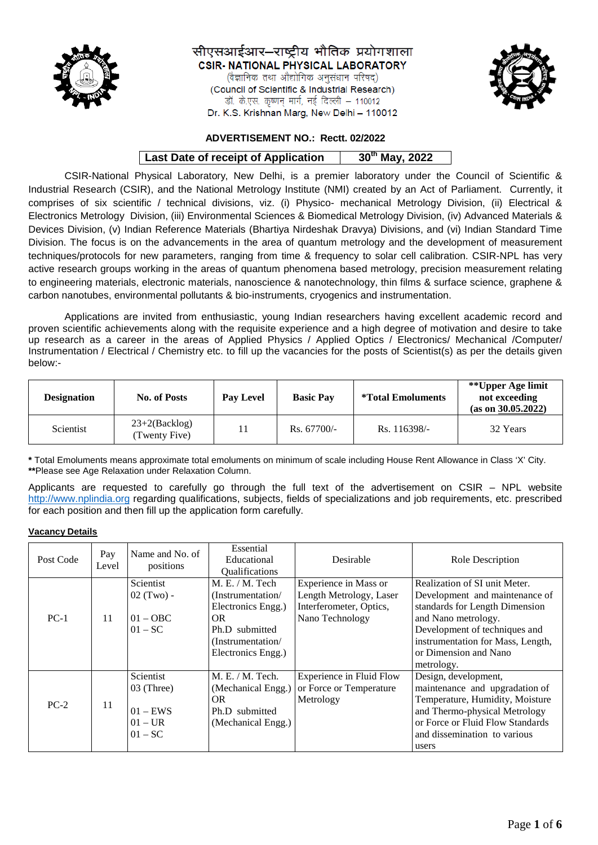

सीएसआईआर–राष्ट्रीय भौतिक प्रयोगशाला **CSIR- NATIONAL PHYSICAL LABORATORY** 

(वैज्ञानिक तथा औद्योगिक अनुसंधान परिषद्) (Council of Scientific & Industrial Research) डॉ. के.एस. कृष्णन मार्ग, नई दिल्ली – 110012 Dr. K.S. Krishnan Marg, New Delhi - 110012



## **ADVERTISEMENT NO.: Rectt. 02/2022**

# **Last Date of receipt of Application | 30<sup>th</sup> May, 2022**

CSIR-National Physical Laboratory, New Delhi, is a premier laboratory under the Council of Scientific & Industrial Research (CSIR), and the National Metrology Institute (NMI) created by an Act of Parliament. Currently, it comprises of six scientific / technical divisions, viz. (i) Physico- mechanical Metrology Division, (ii) Electrical & Electronics Metrology Division, (iii) Environmental Sciences & Biomedical Metrology Division, (iv) Advanced Materials & Devices Division, (v) Indian Reference Materials (Bhartiya Nirdeshak Dravya) Divisions, and (vi) Indian Standard Time Division. The focus is on the advancements in the area of quantum metrology and the development of measurement techniques/protocols for new parameters, ranging from time & frequency to solar cell calibration. CSIR-NPL has very active research groups working in the areas of quantum phenomena based metrology, precision measurement relating to engineering materials, electronic materials, nanoscience & nanotechnology, thin films & surface science, graphene & carbon nanotubes, environmental pollutants & bio-instruments, cryogenics and instrumentation.

Applications are invited from enthusiastic, young Indian researchers having excellent academic record and proven scientific achievements along with the requisite experience and a high degree of motivation and desire to take up research as a career in the areas of Applied Physics / Applied Optics / Electronics/ Mechanical /Computer/ Instrumentation / Electrical / Chemistry etc. to fill up the vacancies for the posts of Scientist(s) as per the details given below:-

| <b>Designation</b> | <b>No. of Posts</b>              | <b>Pay Level</b> | <b>Basic Pay</b> | <i>*Total Emoluments</i> | **Upper Age limit<br>not exceeding<br>(as on 30.05.2022) |
|--------------------|----------------------------------|------------------|------------------|--------------------------|----------------------------------------------------------|
| Scientist          | $23+2(Backlog)$<br>(Twenty Five) |                  | $Rs. 67700/-$    | Rs. 116398/-             | 32 Years                                                 |

**\*** Total Emoluments means approximate total emoluments on minimum of scale including House Rent Allowance in Class 'X' City. **\*\***Please see Age Relaxation under Relaxation Column.

Applicants are requested to carefully go through the full text of the advertisement on CSIR – NPL website [http://www.nplindia.org](http://www.nplindia.org/) regarding qualifications, subjects, fields of specializations and job requirements, etc. prescribed for each position and then fill up the application form carefully.

#### **Vacancy Details**

| Post Code | Pay<br>Level | Name and No. of<br>positions                                    | Essential<br>Educational<br>Qualifications                                                                                           | Desirable                                                                                      | Role Description                                                                                                                                                                                                                      |
|-----------|--------------|-----------------------------------------------------------------|--------------------------------------------------------------------------------------------------------------------------------------|------------------------------------------------------------------------------------------------|---------------------------------------------------------------------------------------------------------------------------------------------------------------------------------------------------------------------------------------|
| $PC-1$    | 11           | Scientist<br>$02$ (Two) -<br>$01 - OBC$<br>$01 - SC$            | M. E. / M. Tech<br>(Instrumentation/<br>Electronics Engg.)<br><b>OR</b><br>Ph.D submitted<br>(Instrumentation/<br>Electronics Engg.) | Experience in Mass or<br>Length Metrology, Laser<br>Interferometer, Optics,<br>Nano Technology | Realization of SI unit Meter.<br>Development and maintenance of<br>standards for Length Dimension<br>and Nano metrology.<br>Development of techniques and<br>instrumentation for Mass, Length,<br>or Dimension and Nano<br>metrology. |
| $PC-2$    | 11           | Scientist<br>03 (Three)<br>$01 - EWS$<br>$01 - UR$<br>$01 - SC$ | M. E. / M. Tech.<br>(Mechanical Engg.)<br>OR.<br>Ph.D submitted<br>(Mechanical Engg.)                                                | Experience in Fluid Flow<br>or Force or Temperature<br>Metrology                               | Design, development,<br>maintenance and upgradation of<br>Temperature, Humidity, Moisture<br>and Thermo-physical Metrology<br>or Force or Fluid Flow Standards<br>and dissemination to various<br>users                               |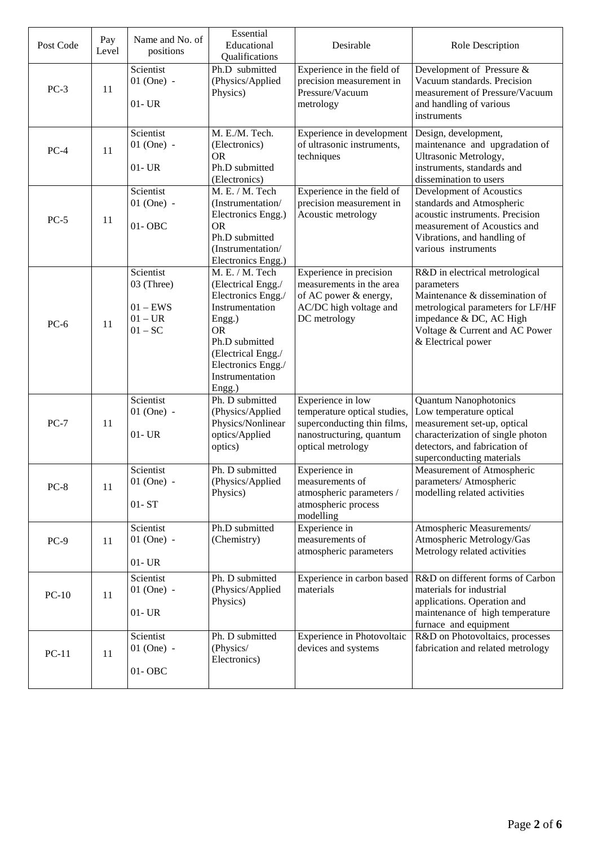| Post Code | Pay<br>Level | Name and No. of<br>positions                                    | Essential<br>Educational<br>Qualifications                                                                                                                                                       | Desirable                                                                                                                         | Role Description                                                                                                                                                                                       |
|-----------|--------------|-----------------------------------------------------------------|--------------------------------------------------------------------------------------------------------------------------------------------------------------------------------------------------|-----------------------------------------------------------------------------------------------------------------------------------|--------------------------------------------------------------------------------------------------------------------------------------------------------------------------------------------------------|
| $PC-3$    | 11           | Scientist<br>$01$ (One) -<br>$01 - UR$                          | Ph.D submitted<br>(Physics/Applied<br>Physics)                                                                                                                                                   | Experience in the field of<br>precision measurement in<br>Pressure/Vacuum<br>metrology                                            | Development of Pressure &<br>Vacuum standards. Precision<br>measurement of Pressure/Vacuum<br>and handling of various<br>instruments                                                                   |
| $PC-4$    | 11           | Scientist<br>$01$ (One) -<br>$01 - UR$                          | M. E./M. Tech.<br>(Electronics)<br><b>OR</b><br>Ph.D submitted<br>(Electronics)                                                                                                                  | Experience in development<br>of ultrasonic instruments,<br>techniques                                                             | Design, development,<br>maintenance and upgradation of<br>Ultrasonic Metrology,<br>instruments, standards and<br>dissemination to users                                                                |
| $PC-5$    | 11           | Scientist<br>$01$ (One) -<br>$01 - OBC$                         | M. E. / M. Tech<br>(Instrumentation/<br>Electronics Engg.)<br><b>OR</b><br>Ph.D submitted<br>(Instrumentation/<br>Electronics Engg.)                                                             | Experience in the field of<br>precision measurement in<br>Acoustic metrology                                                      | Development of Acoustics<br>standards and Atmospheric<br>acoustic instruments. Precision<br>measurement of Acoustics and<br>Vibrations, and handling of<br>various instruments                         |
| $PC-6$    | 11           | Scientist<br>03 (Three)<br>$01 - EWS$<br>$01 - UR$<br>$01 - SC$ | M. E. / M. Tech<br>(Electrical Engg./<br>Electronics Engg./<br>Instrumentation<br>Engg.)<br><b>OR</b><br>Ph.D submitted<br>(Electrical Engg./<br>Electronics Engg./<br>Instrumentation<br>Engg.) | Experience in precision<br>measurements in the area<br>of AC power & energy,<br>AC/DC high voltage and<br>DC metrology            | R&D in electrical metrological<br>parameters<br>Maintenance & dissemination of<br>metrological parameters for LF/HF<br>impedance & DC, AC High<br>Voltage & Current and AC Power<br>& Electrical power |
| $PC-7$    | 11           | Scientist<br>$01$ (One) -<br>$01 - UR$                          | Ph. D submitted<br>(Physics/Applied<br>Physics/Nonlinear<br>optics/Applied<br>optics)                                                                                                            | Experience in low<br>temperature optical studies,<br>superconducting thin films,<br>nanostructuring, quantum<br>optical metrology | <b>Quantum Nanophotonics</b><br>Low temperature optical<br>measurement set-up, optical<br>characterization of single photon<br>detectors, and fabrication of<br>superconducting materials              |
| $PC-8$    | 11           | Scientist<br>$01$ (One) -<br>$01 - ST$                          | Ph. D submitted<br>(Physics/Applied<br>Physics)                                                                                                                                                  | Experience in<br>measurements of<br>atmospheric parameters /<br>atmospheric process<br>modelling                                  | Measurement of Atmospheric<br>parameters/ Atmospheric<br>modelling related activities                                                                                                                  |
| $PC-9$    | 11           | Scientist<br>$01$ (One) -<br>$01 - UR$                          | Ph.D submitted<br>(Chemistry)                                                                                                                                                                    | Experience in<br>measurements of<br>atmospheric parameters                                                                        | Atmospheric Measurements/<br>Atmospheric Metrology/Gas<br>Metrology related activities                                                                                                                 |
| $PC-10$   | 11           | Scientist<br>$01$ (One) -<br>$01 - UR$                          | Ph. D submitted<br>(Physics/Applied<br>Physics)                                                                                                                                                  | Experience in carbon based<br>materials                                                                                           | R&D on different forms of Carbon<br>materials for industrial<br>applications. Operation and<br>maintenance of high temperature<br>furnace and equipment                                                |
| $PC-11$   | 11           | Scientist<br>$01$ (One) -<br>$01 - OBC$                         | Ph. D submitted<br>(Physics/<br>Electronics)                                                                                                                                                     | Experience in Photovoltaic<br>devices and systems                                                                                 | R&D on Photovoltaics, processes<br>fabrication and related metrology                                                                                                                                   |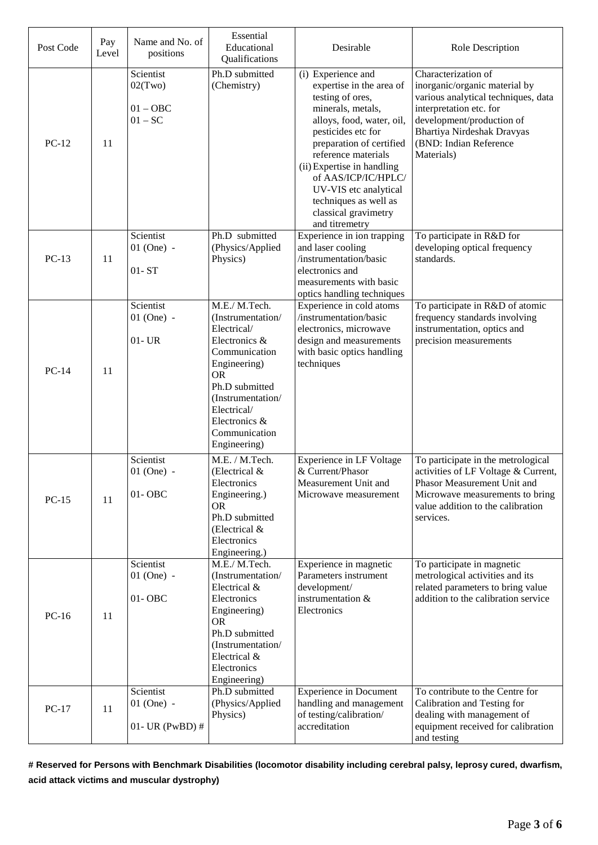| Post Code | Pay<br>Level | Name and No. of<br>positions                    | Essential<br>Educational<br>Qualifications                                                                                                                                                                               | Desirable                                                                                                                                                                                                                                                                                                                                      | Role Description                                                                                                                                                                                                                 |
|-----------|--------------|-------------------------------------------------|--------------------------------------------------------------------------------------------------------------------------------------------------------------------------------------------------------------------------|------------------------------------------------------------------------------------------------------------------------------------------------------------------------------------------------------------------------------------------------------------------------------------------------------------------------------------------------|----------------------------------------------------------------------------------------------------------------------------------------------------------------------------------------------------------------------------------|
| $PC-12$   | 11           | Scientist<br>02(Two)<br>$01 - OBC$<br>$01 - SC$ | Ph.D submitted<br>(Chemistry)                                                                                                                                                                                            | (i) Experience and<br>expertise in the area of<br>testing of ores,<br>minerals, metals,<br>alloys, food, water, oil,<br>pesticides etc for<br>preparation of certified<br>reference materials<br>(ii) Expertise in handling<br>of AAS/ICP/IC/HPLC/<br>UV-VIS etc analytical<br>techniques as well as<br>classical gravimetry<br>and titremetry | Characterization of<br>inorganic/organic material by<br>various analytical techniques, data<br>interpretation etc. for<br>development/production of<br><b>Bhartiya Nirdeshak Dravyas</b><br>(BND: Indian Reference<br>Materials) |
| $PC-13$   | 11           | Scientist<br>$01$ (One) -<br>$01 - ST$          | Ph.D submitted<br>(Physics/Applied<br>Physics)                                                                                                                                                                           | Experience in ion trapping<br>and laser cooling<br>/instrumentation/basic<br>electronics and<br>measurements with basic<br>optics handling techniques                                                                                                                                                                                          | To participate in R&D for<br>developing optical frequency<br>standards.                                                                                                                                                          |
| $PC-14$   | 11           | Scientist<br>$01$ (One) -<br>$01 - UR$          | M.E./ M.Tech.<br>(Instrumentation/<br>Electrical/<br>Electronics &<br>Communication<br>Engineering)<br><b>OR</b><br>Ph.D submitted<br>(Instrumentation/<br>Electrical/<br>Electronics &<br>Communication<br>Engineering) | Experience in cold atoms<br>/instrumentation/basic<br>electronics, microwave<br>design and measurements<br>with basic optics handling<br>techniques                                                                                                                                                                                            | To participate in R&D of atomic<br>frequency standards involving<br>instrumentation, optics and<br>precision measurements                                                                                                        |
| $PC-15$   | 11           | Scientist<br>$01$ (One) -<br>01-OBC             | M.E. / M.Tech.<br>(Electrical &<br>Electronics<br>Engineering.)<br><b>OR</b><br>Ph.D submitted<br>(Electrical &<br>Electronics<br>Engineering.)                                                                          | <b>Experience in LF Voltage</b><br>& Current/Phasor<br>Measurement Unit and<br>Microwave measurement                                                                                                                                                                                                                                           | To participate in the metrological<br>activities of LF Voltage & Current,<br>Phasor Measurement Unit and<br>Microwave measurements to bring<br>value addition to the calibration<br>services.                                    |
| $PC-16$   | 11           | Scientist<br>$01$ (One) -<br>01-OBC             | M.E./ M.Tech.<br>(Instrumentation/<br>Electrical &<br>Electronics<br>Engineering)<br><b>OR</b><br>Ph.D submitted<br>(Instrumentation/<br>Electrical &<br>Electronics<br>Engineering)                                     | Experience in magnetic<br>Parameters instrument<br>development/<br>instrumentation $\&$<br>Electronics                                                                                                                                                                                                                                         | To participate in magnetic<br>metrological activities and its<br>related parameters to bring value<br>addition to the calibration service                                                                                        |
| $PC-17$   | 11           | Scientist<br>$01$ (One) -<br>$01$ - UR (PwBD) # | Ph.D submitted<br>(Physics/Applied<br>Physics)                                                                                                                                                                           | <b>Experience in Document</b><br>handling and management<br>of testing/calibration/<br>accreditation                                                                                                                                                                                                                                           | To contribute to the Centre for<br>Calibration and Testing for<br>dealing with management of<br>equipment received for calibration<br>and testing                                                                                |

**# Reserved for Persons with Benchmark Disabilities (locomotor disability including cerebral palsy, leprosy cured, dwarfism, acid attack victims and muscular dystrophy)**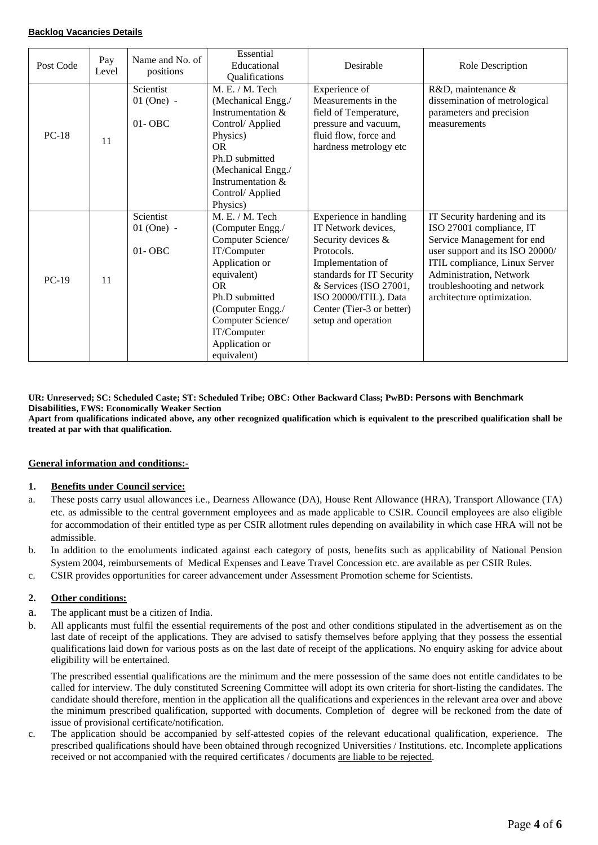#### **Backlog Vacancies Details**

| Post Code | Pay<br>Level | Name and No. of<br>positions            | Essential<br>Educational<br>Qualifications                                                                                                                                                                                 | Desirable                                                                                                                                                                                                                                  | Role Description                                                                                                                                                                                                                                    |
|-----------|--------------|-----------------------------------------|----------------------------------------------------------------------------------------------------------------------------------------------------------------------------------------------------------------------------|--------------------------------------------------------------------------------------------------------------------------------------------------------------------------------------------------------------------------------------------|-----------------------------------------------------------------------------------------------------------------------------------------------------------------------------------------------------------------------------------------------------|
| $PC-18$   | 11           | Scientist<br>$01$ (One) -<br>$01 - OBC$ | M.E. / M. Tech<br>(Mechanical Engg./<br>Instrumentation &<br>Control/ Applied<br>Physics)<br><b>OR</b><br>Ph.D submitted<br>(Mechanical Engg./<br>Instrumentation $\&$<br>Control/ Applied<br>Physics)                     | Experience of<br>Measurements in the<br>field of Temperature,<br>pressure and vacuum,<br>fluid flow, force and<br>hardness metrology etc                                                                                                   | R&D, maintenance &<br>dissemination of metrological<br>parameters and precision<br>measurements                                                                                                                                                     |
| $PC-19$   | 11           | Scientist<br>$01$ (One) -<br>$01 - OBC$ | M. E. / M. Tech<br>(Computer Engg./<br>Computer Science/<br>IT/Computer<br>Application or<br>equivalent)<br>OR.<br>Ph.D submitted<br>(Computer Engg./<br>Computer Science/<br>IT/Computer<br>Application or<br>equivalent) | Experience in handling<br>IT Network devices,<br>Security devices &<br>Protocols.<br>Implementation of<br>standards for IT Security<br>& Services (ISO 27001,<br>ISO 20000/ITIL). Data<br>Center (Tier-3 or better)<br>setup and operation | IT Security hardening and its<br>ISO 27001 compliance, IT<br>Service Management for end<br>user support and its ISO 20000/<br>ITIL compliance, Linux Server<br>Administration, Network<br>troubleshooting and network<br>architecture optimization. |

**UR: Unreserved; SC: Scheduled Caste; ST: Scheduled Tribe; OBC: Other Backward Class; PwBD: Persons with Benchmark Disabilities, EWS: Economically Weaker Section**

**Apart from qualifications indicated above, any other recognized qualification which is equivalent to the prescribed qualification shall be treated at par with that qualification.** 

#### **General information and conditions:-**

#### **1. Benefits under Council service:**

- a. These posts carry usual allowances i.e., Dearness Allowance (DA), House Rent Allowance (HRA), Transport Allowance (TA) etc. as admissible to the central government employees and as made applicable to CSIR. Council employees are also eligible for accommodation of their entitled type as per CSIR allotment rules depending on availability in which case HRA will not be admissible.
- b. In addition to the emoluments indicated against each category of posts, benefits such as applicability of National Pension System 2004, reimbursements of Medical Expenses and Leave Travel Concession etc. are available as per CSIR Rules.
- c. CSIR provides opportunities for career advancement under Assessment Promotion scheme for Scientists.

### **2. Other conditions:**

- a. The applicant must be a citizen of India.
- b. All applicants must fulfil the essential requirements of the post and other conditions stipulated in the advertisement as on the last date of receipt of the applications. They are advised to satisfy themselves before applying that they possess the essential qualifications laid down for various posts as on the last date of receipt of the applications. No enquiry asking for advice about eligibility will be entertained.

The prescribed essential qualifications are the minimum and the mere possession of the same does not entitle candidates to be called for interview. The duly constituted Screening Committee will adopt its own criteria for short-listing the candidates. The candidate should therefore, mention in the application all the qualifications and experiences in the relevant area over and above the minimum prescribed qualification, supported with documents. Completion of degree will be reckoned from the date of issue of provisional certificate/notification.

c. The application should be accompanied by self-attested copies of the relevant educational qualification, experience. The prescribed qualifications should have been obtained through recognized Universities / Institutions. etc. Incomplete applications received or not accompanied with the required certificates / documents are liable to be rejected.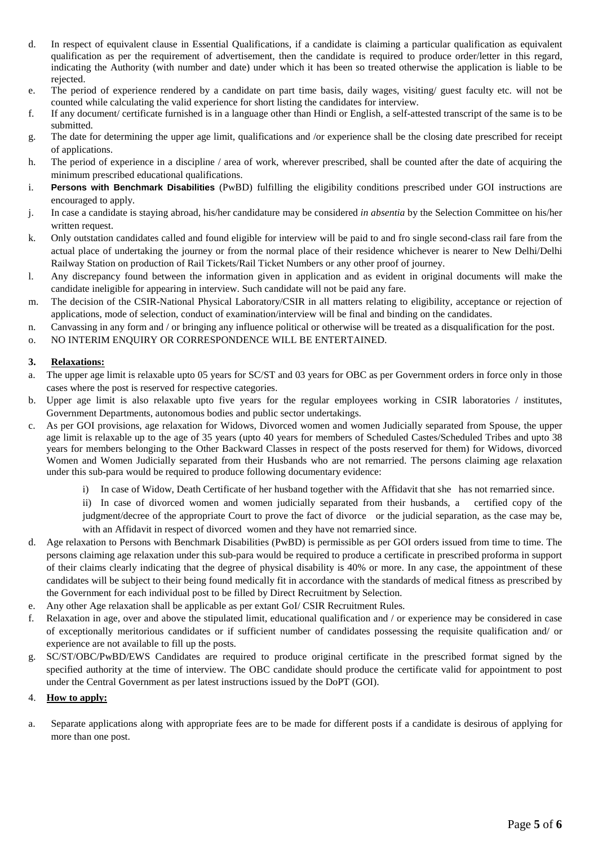- d. In respect of equivalent clause in Essential Qualifications, if a candidate is claiming a particular qualification as equivalent qualification as per the requirement of advertisement, then the candidate is required to produce order/letter in this regard, indicating the Authority (with number and date) under which it has been so treated otherwise the application is liable to be rejected.
- e. The period of experience rendered by a candidate on part time basis, daily wages, visiting/ guest faculty etc. will not be counted while calculating the valid experience for short listing the candidates for interview.
- f. If any document/ certificate furnished is in a language other than Hindi or English, a self-attested transcript of the same is to be submitted.
- g. The date for determining the upper age limit, qualifications and /or experience shall be the closing date prescribed for receipt of applications.
- h. The period of experience in a discipline / area of work, wherever prescribed, shall be counted after the date of acquiring the minimum prescribed educational qualifications.
- i. **Persons with Benchmark Disabilities** (PwBD) fulfilling the eligibility conditions prescribed under GOI instructions are encouraged to apply.
- j. In case a candidate is staying abroad, his/her candidature may be considered *in absentia* by the Selection Committee on his/her written request.
- k. Only outstation candidates called and found eligible for interview will be paid to and fro single second-class rail fare from the actual place of undertaking the journey or from the normal place of their residence whichever is nearer to New Delhi/Delhi Railway Station on production of Rail Tickets/Rail Ticket Numbers or any other proof of journey.
- l. Any discrepancy found between the information given in application and as evident in original documents will make the candidate ineligible for appearing in interview. Such candidate will not be paid any fare.
- m. The decision of the CSIR-National Physical Laboratory/CSIR in all matters relating to eligibility, acceptance or rejection of applications, mode of selection, conduct of examination/interview will be final and binding on the candidates.
- n. Canvassing in any form and / or bringing any influence political or otherwise will be treated as a disqualification for the post.
- o. NO INTERIM ENQUIRY OR CORRESPONDENCE WILL BE ENTERTAINED.

### **3. Relaxations:**

- a. The upper age limit is relaxable upto 05 years for SC/ST and 03 years for OBC as per Government orders in force only in those cases where the post is reserved for respective categories.
- b. Upper age limit is also relaxable upto five years for the regular employees working in CSIR laboratories / institutes, Government Departments, autonomous bodies and public sector undertakings.
- c. As per GOI provisions, age relaxation for Widows, Divorced women and women Judicially separated from Spouse, the upper age limit is relaxable up to the age of 35 years (upto 40 years for members of Scheduled Castes/Scheduled Tribes and upto 38 years for members belonging to the Other Backward Classes in respect of the posts reserved for them) for Widows, divorced Women and Women Judicially separated from their Husbands who are not remarried. The persons claiming age relaxation under this sub-para would be required to produce following documentary evidence:
	- i) In case of Widow, Death Certificate of her husband together with the Affidavit that she has not remarried since.
	- ii) In case of divorced women and women judicially separated from their husbands, a certified copy of the judgment/decree of the appropriate Court to prove the fact of divorce or the judicial separation, as the case may be, with an Affidavit in respect of divorced women and they have not remarried since.
- d. Age relaxation to Persons with Benchmark Disabilities (PwBD) is permissible as per GOI orders issued from time to time. The persons claiming age relaxation under this sub-para would be required to produce a certificate in prescribed proforma in support of their claims clearly indicating that the degree of physical disability is 40% or more. In any case, the appointment of these candidates will be subject to their being found medically fit in accordance with the standards of medical fitness as prescribed by the Government for each individual post to be filled by Direct Recruitment by Selection.
- e. Any other Age relaxation shall be applicable as per extant GoI/ CSIR Recruitment Rules.
- f. Relaxation in age, over and above the stipulated limit, educational qualification and / or experience may be considered in case of exceptionally meritorious candidates or if sufficient number of candidates possessing the requisite qualification and/ or experience are not available to fill up the posts.
- g. SC/ST/OBC/PwBD/EWS Candidates are required to produce original certificate in the prescribed format signed by the specified authority at the time of interview. The OBC candidate should produce the certificate valid for appointment to post under the Central Government as per latest instructions issued by the DoPT (GOI).

## 4. **How to apply:**

a. Separate applications along with appropriate fees are to be made for different posts if a candidate is desirous of applying for more than one post.